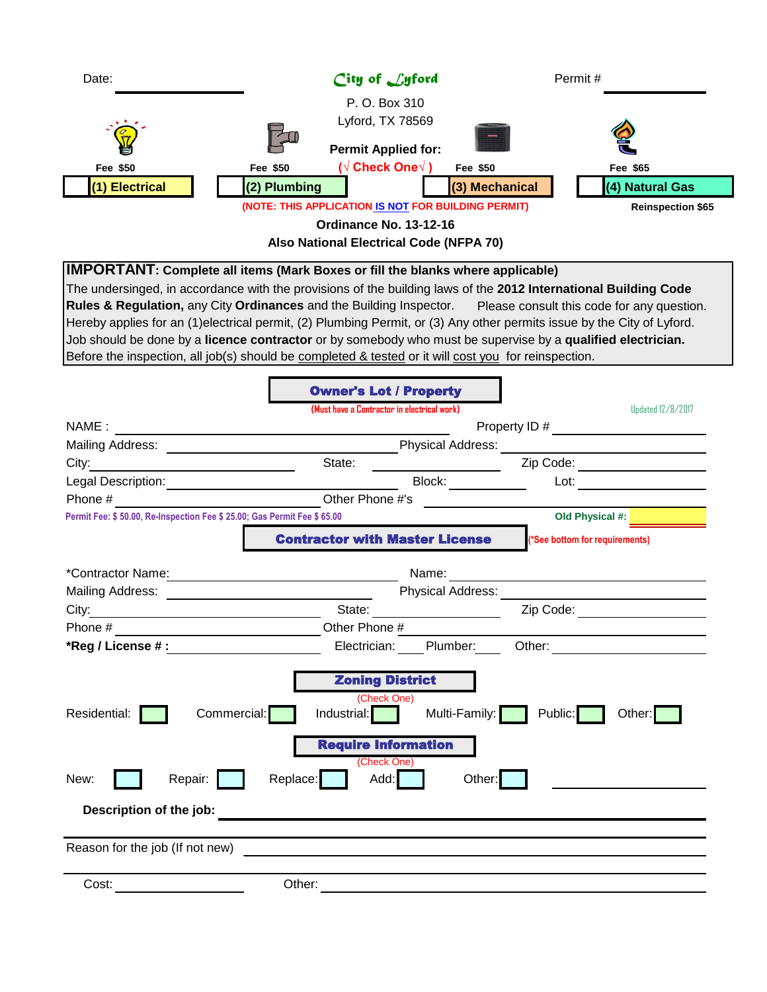| Date:                                                                                                                                                                                                                                                                                                                                                                                                                                                                                                                                                                                                                                                                       | City of Lyford                                                                                                                                                 | Permit#                            |  |  |
|-----------------------------------------------------------------------------------------------------------------------------------------------------------------------------------------------------------------------------------------------------------------------------------------------------------------------------------------------------------------------------------------------------------------------------------------------------------------------------------------------------------------------------------------------------------------------------------------------------------------------------------------------------------------------------|----------------------------------------------------------------------------------------------------------------------------------------------------------------|------------------------------------|--|--|
| Fee \$50<br>(1) Electrical                                                                                                                                                                                                                                                                                                                                                                                                                                                                                                                                                                                                                                                  | P. O. Box 310<br>Lyford, TX 78569<br><b>Permit Applied for:</b><br>( $\sqrt{}$ Check One $\sqrt{}$ )<br>Fee \$50<br>Fee \$50<br>(2) Plumbing<br>(3) Mechanical | Fee \$65<br>(4) Natural Gas        |  |  |
|                                                                                                                                                                                                                                                                                                                                                                                                                                                                                                                                                                                                                                                                             | (NOTE: THIS APPLICATION IS NOT FOR BUILDING PERMIT)<br>Ordinance No. 13-12-16<br>Also National Electrical Code (NFPA 70)                                       | <b>Reinspection \$65</b>           |  |  |
| <b>IMPORTANT:</b> Complete all items (Mark Boxes or fill the blanks where applicable)<br>The undersinged, in accordance with the provisions of the building laws of the 2012 International Building Code<br>Rules & Regulation, any City Ordinances and the Building Inspector. Please consult this code for any question.<br>Hereby applies for an (1)electrical permit, (2) Plumbing Permit, or (3) Any other permits issue by the City of Lyford.<br>Job should be done by a licence contractor or by somebody who must be supervise by a qualified electrician.<br>Before the inspection, all job(s) should be completed & tested or it will cost you for reinspection. |                                                                                                                                                                |                                    |  |  |
|                                                                                                                                                                                                                                                                                                                                                                                                                                                                                                                                                                                                                                                                             | <b>Owner's Lot / Property</b><br>(Must have a Contractor in electrical work)                                                                                   | <b>Updated 12/8/2017</b>           |  |  |
| NAME :                                                                                                                                                                                                                                                                                                                                                                                                                                                                                                                                                                                                                                                                      |                                                                                                                                                                | Property ID #                      |  |  |
|                                                                                                                                                                                                                                                                                                                                                                                                                                                                                                                                                                                                                                                                             |                                                                                                                                                                |                                    |  |  |
| City:<br><u> 1980 - Johann Barn, mars an t-Amerikaansk kommunister (</u>                                                                                                                                                                                                                                                                                                                                                                                                                                                                                                                                                                                                    | State:                                                                                                                                                         | Zip Code: ___________________      |  |  |
| Legal Description: _________________________                                                                                                                                                                                                                                                                                                                                                                                                                                                                                                                                                                                                                                | Block: _________                                                                                                                                               |                                    |  |  |
| Phone #                                                                                                                                                                                                                                                                                                                                                                                                                                                                                                                                                                                                                                                                     | Other Phone #'s                                                                                                                                                |                                    |  |  |
| Permit Fee: \$ 50.00, Re-Inspection Fee \$ 25.00; Gas Permit Fee \$ 65.00                                                                                                                                                                                                                                                                                                                                                                                                                                                                                                                                                                                                   |                                                                                                                                                                | Old Physical #:                    |  |  |
|                                                                                                                                                                                                                                                                                                                                                                                                                                                                                                                                                                                                                                                                             | <b>Contractor with Master License</b>                                                                                                                          | (*See bottom for requirements)     |  |  |
|                                                                                                                                                                                                                                                                                                                                                                                                                                                                                                                                                                                                                                                                             |                                                                                                                                                                |                                    |  |  |
| Mailing Address:                                                                                                                                                                                                                                                                                                                                                                                                                                                                                                                                                                                                                                                            | <b>Physical Address:</b><br><u> 1989 - Johann Stein, mars and de Brasilian (b. 1989)</u>                                                                       |                                    |  |  |
|                                                                                                                                                                                                                                                                                                                                                                                                                                                                                                                                                                                                                                                                             |                                                                                                                                                                | Zip Code: <u>www.community.com</u> |  |  |
| Phone #                                                                                                                                                                                                                                                                                                                                                                                                                                                                                                                                                                                                                                                                     | Other Phone #                                                                                                                                                  |                                    |  |  |
| *Reg / License # :                                                                                                                                                                                                                                                                                                                                                                                                                                                                                                                                                                                                                                                          | Electrician:<br>Plumber:                                                                                                                                       | Other:                             |  |  |
| Residential:<br>Commercial:                                                                                                                                                                                                                                                                                                                                                                                                                                                                                                                                                                                                                                                 | <b>Zoning District</b><br>(Check One)<br>Multi-Family:<br>Industrial:<br><b>Require Information</b>                                                            | Public:<br>Other:                  |  |  |
| Repair:<br>New:<br>Description of the job:                                                                                                                                                                                                                                                                                                                                                                                                                                                                                                                                                                                                                                  | (Check One)<br>Replace:<br>Add:<br>Other:                                                                                                                      |                                    |  |  |
| Reason for the job (If not new)                                                                                                                                                                                                                                                                                                                                                                                                                                                                                                                                                                                                                                             |                                                                                                                                                                |                                    |  |  |
| Cost:                                                                                                                                                                                                                                                                                                                                                                                                                                                                                                                                                                                                                                                                       | Other:                                                                                                                                                         |                                    |  |  |